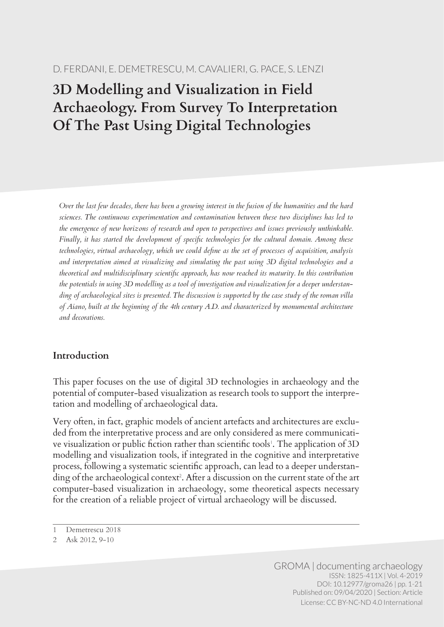# **3D Modelling and Visualization in Field Archaeology. From Survey To Interpretation Of The Past Using Digital Technologies**

*Over the last few decades, there has been a growing interest in the fusion of the humanities and the hard sciences. The continuous experimentation and contamination between these two disciplines has led to the emergence of new horizons of research and open to perspectives and issues previously unthinkable. Finally, it has started the development of specific technologies for the cultural domain. Among these technologies, virtual archaeology, which we could define as the set of processes of acquisition, analysis and interpretation aimed at visualizing and simulating the past using 3D digital technologies and a theoretical and multidisciplinary scientific approach, has now reached its maturity. In this contribution the potentials in using 3D modelling as a tool of investigation and visualization for a deeper understanding of archaeological sites is presented. The discussion is supported by the case study of the roman villa of Aiano, built at the beginning of the 4th century A.D. and characterized by monumental architecture and decorations.*

# **Introduction**

This paper focuses on the use of digital 3D technologies in archaeology and the potential of computer-based visualization as research tools to support the interpretation and modelling of archaeological data.

Very often, in fact, graphic models of ancient artefacts and architectures are excluded from the interpretative process and are only considered as mere communicative visualization or public fiction rather than scientific tools'. The application of 3D modelling and visualization tools, if integrated in the cognitive and interpretative process, following a systematic scientific approach, can lead to a deeper understanding of the archaeological context<sup>2</sup>. After a discussion on the current state of the art computer-based visualization in archaeology, some theoretical aspects necessary for the creation of a reliable project of virtual archaeology will be discussed.

<sup>1</sup> Demetrescu 2018

<sup>2</sup> Ask 2012, 9-10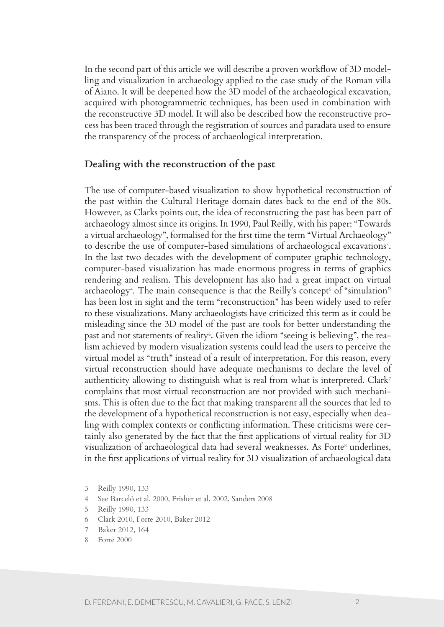In the second part of this article we will describe a proven workflow of 3D modelling and visualization in archaeology applied to the case study of the Roman villa of Aiano. It will be deepened how the 3D model of the archaeological excavation, acquired with photogrammetric techniques, has been used in combination with the reconstructive 3D model. It will also be described how the reconstructive process has been traced through the registration of sources and paradata used to ensure the transparency of the process of archaeological interpretation.

#### **Dealing with the reconstruction of the past**

The use of computer-based visualization to show hypothetical reconstruction of the past within the Cultural Heritage domain dates back to the end of the 80s. However, as Clarks points out, the idea of reconstructing the past has been part of archaeology almost since its origins. In 1990, Paul Reilly, with his paper: "Towards a virtual archaeology", formalised for the first time the term "Virtual Archaeology" to describe the use of computer-based simulations of archaeological excavations<sup>3</sup>. In the last two decades with the development of computer graphic technology, computer-based visualization has made enormous progress in terms of graphics rendering and realism. This development has also had a great impact on virtual archaeology<sup>4</sup>. The main consequence is that the Reilly's concept<sup>5</sup> of "simulation" has been lost in sight and the term "reconstruction" has been widely used to refer to these visualizations. Many archaeologists have criticized this term as it could be misleading since the 3D model of the past are tools for better understanding the past and not statements of reality<sup>6</sup>. Given the idiom "seeing is believing", the realism achieved by modern visualization systems could lead the users to perceive the virtual model as "truth" instead of a result of interpretation. For this reason, every virtual reconstruction should have adequate mechanisms to declare the level of authenticity allowing to distinguish what is real from what is interpreted. Clark<sup>7</sup> complains that most virtual reconstruction are not provided with such mechanisms. This is often due to the fact that making transparent all the sources that led to the development of a hypothetical reconstruction is not easy, especially when dealing with complex contexts or conflicting information. These criticisms were certainly also generated by the fact that the first applications of virtual reality for 3D visualization of archaeological data had several weaknesses. As Forte<sup>8</sup> underlines, in the first applications of virtual reality for 3D visualization of archaeological data

<sup>3</sup> Reilly 1990, 133

<sup>4</sup> See Barceló et al. 2000, Frisher et al. 2002, Sanders 2008

<sup>5</sup> Reilly 1990, 133

<sup>6</sup> Clark 2010, Forte 2010, Baker 2012

<sup>7</sup> Baker 2012, 164

<sup>8</sup> Forte 2000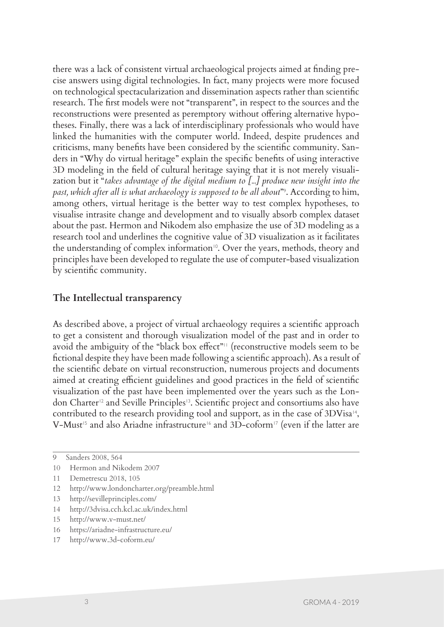there was a lack of consistent virtual archaeological projects aimed at finding precise answers using digital technologies. In fact, many projects were more focused on technological spectacularization and dissemination aspects rather than scientific research. The first models were not "transparent", in respect to the sources and the reconstructions were presented as peremptory without offering alternative hypotheses. Finally, there was a lack of interdisciplinary professionals who would have linked the humanities with the computer world. Indeed, despite prudences and criticisms, many benefits have been considered by the scientific community. Sanders in "Why do virtual heritage" explain the specific benefits of using interactive 3D modeling in the field of cultural heritage saying that it is not merely visualization but it "*takes advantage of the digital medium to [...] produce new insight into the past, which after all is what archaeology is supposed to be all about*"<sup>9</sup> . According to him, among others, virtual heritage is the better way to test complex hypotheses, to visualise intrasite change and development and to visually absorb complex dataset about the past. Hermon and Nikodem also emphasize the use of 3D modeling as a research tool and underlines the cognitive value of 3D visualization as it facilitates the understanding of complex information<sup>10</sup>. Over the years, methods, theory and principles have been developed to regulate the use of computer-based visualization by scientific community.

## **The Intellectual transparency**

As described above, a project of virtual archaeology requires a scientific approach to get a consistent and thorough visualization model of the past and in order to avoid the ambiguity of the "black box effect"<sup>11</sup> (reconstructive models seem to be fictional despite they have been made following a scientific approach). As a result of the scientific debate on virtual reconstruction, numerous projects and documents aimed at creating efficient guidelines and good practices in the field of scientific visualization of the past have been implemented over the years such as the London Charter12 and Seville Principles13. Scientific project and consortiums also have contributed to the research providing tool and support, as in the case of 3DVisa<sup>14</sup>, V-Must<sup>15</sup> and also Ariadne infrastructure<sup>16</sup> and 3D-coform<sup>17</sup> (even if the latter are

- 16 https://ariadne-infrastructure.eu/
- 17 http://www.3d-coform.eu/

<sup>9</sup> Sanders 2008, 564

<sup>10</sup> Hermon and Nikodem 2007

<sup>11</sup> Demetrescu 2018, 105

<sup>12</sup> http://www.londoncharter.org/preamble.html

<sup>13</sup> http://sevilleprinciples.com/

<sup>14</sup> http://3dvisa.cch.kcl.ac.uk/index.html

<sup>15</sup> http://www.v-must.net/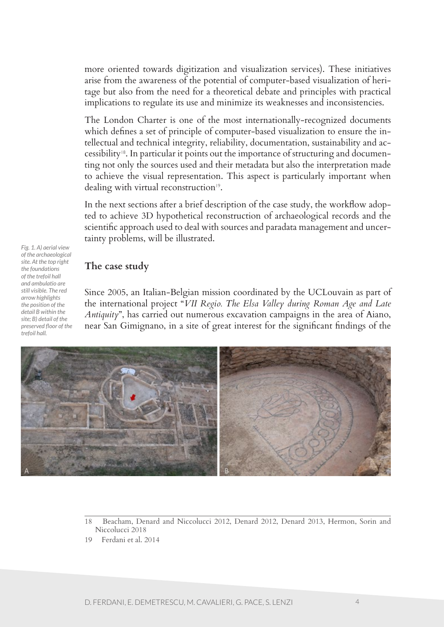more oriented towards digitization and visualization services). These initiatives arise from the awareness of the potential of computer-based visualization of heritage but also from the need for a theoretical debate and principles with practical implications to regulate its use and minimize its weaknesses and inconsistencies.

The London Charter is one of the most internationally-recognized documents which defines a set of principle of computer-based visualization to ensure the intellectual and technical integrity, reliability, documentation, sustainability and accessibility18. In particular it points out the importance of structuring and documenting not only the sources used and their metadata but also the interpretation made to achieve the visual representation. This aspect is particularly important when dealing with virtual reconstruction<sup>19</sup>.

In the next sections after a brief description of the case study, the workflow adopted to achieve 3D hypothetical reconstruction of archaeological records and the scientific approach used to deal with sources and paradata management and uncertainty problems, will be illustrated.

**The case study**

*Fig. 1. A) aerial view of the archaeological site. At the top right the foundations of the trefoil hall and ambulatio are still visible. The red arrow highlights the position of the detail B within the site; B) detail of the preserved floor of the trefoil hall.*

Since 2005, an Italian-Belgian mission coordinated by the UCLouvain as part of the international project "*VII Regio. The Elsa Valley during Roman Age and Late Antiquity*", has carried out numerous excavation campaigns in the area of Aiano, near San Gimignano, in a site of great interest for the significant findings of the



18 Beacham, Denard and Niccolucci 2012, Denard 2012, Denard 2013, Hermon, Sorin and Niccolucci 2018

<sup>19</sup> Ferdani et al. 2014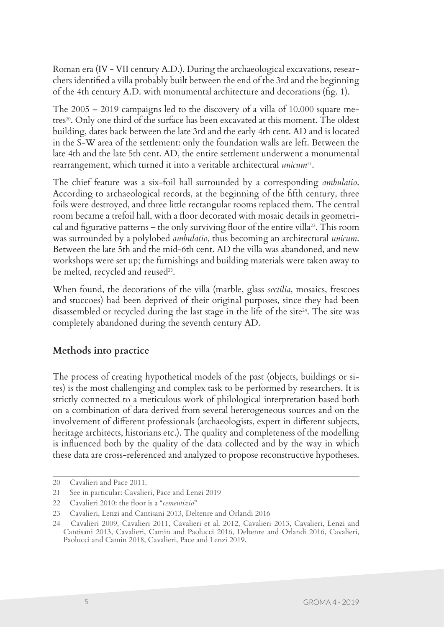Roman era (IV - VII century A.D.). During the archaeological excavations, researchers identified a villa probably built between the end of the 3rd and the beginning of the 4th century A.D. with monumental architecture and decorations (fig. 1).

The 2005 – 2019 campaigns led to the discovery of a villa of 10.000 square metres<sup>20</sup>. Only one third of the surface has been excavated at this moment. The oldest building, dates back between the late 3rd and the early 4th cent. AD and is located in the S-W area of the settlement: only the foundation walls are left. Between the late 4th and the late 5th cent. AD, the entire settlement underwent a monumental rearrangement, which turned it into a veritable architectural *unicum*<sup>21</sup>.

The chief feature was a six-foil hall surrounded by a corresponding *ambulatio*. According to archaeological records, at the beginning of the fifth century, three foils were destroyed, and three little rectangular rooms replaced them. The central room became a trefoil hall, with a floor decorated with mosaic details in geometrical and figurative patterns – the only surviving floor of the entire villa<sup>22</sup>. This room was surrounded by a polylobed *ambulatio*, thus becoming an architectural *unicum*. Between the late 5th and the mid-6th cent. AD the villa was abandoned, and new workshops were set up; the furnishings and building materials were taken away to be melted, recycled and reused<sup>23</sup>.

When found, the decorations of the villa (marble, glass *sectilia*, mosaics, frescoes and stuccoes) had been deprived of their original purposes, since they had been disassembled or recycled during the last stage in the life of the site $24$ . The site was completely abandoned during the seventh century AD.

# **Methods into practice**

The process of creating hypothetical models of the past (objects, buildings or sites) is the most challenging and complex task to be performed by researchers. It is strictly connected to a meticulous work of philological interpretation based both on a combination of data derived from several heterogeneous sources and on the involvement of different professionals (archaeologists, expert in different subjects, heritage architects, historians etc.). The quality and completeness of the modelling is influenced both by the quality of the data collected and by the way in which these data are cross-referenced and analyzed to propose reconstructive hypotheses.

<sup>20</sup> Cavalieri and Pace 2011.

<sup>21</sup> See in particular: Cavalieri, Pace and Lenzi 2019

<sup>22</sup> Cavalieri 2010: the floor is a "*cementizio*"

<sup>23</sup> Cavalieri, Lenzi and Cantisani 2013, Deltenre and Orlandi 2016

<sup>24</sup> Cavalieri 2009, Cavalieri 2011, Cavalieri et al. 2012, Cavalieri 2013, Cavalieri, Lenzi and Cantisani 2013, Cavalieri, Camin and Paolucci 2016, Deltenre and Orlandi 2016, Cavalieri, Paolucci and Camin 2018, Cavalieri, Pace and Lenzi 2019.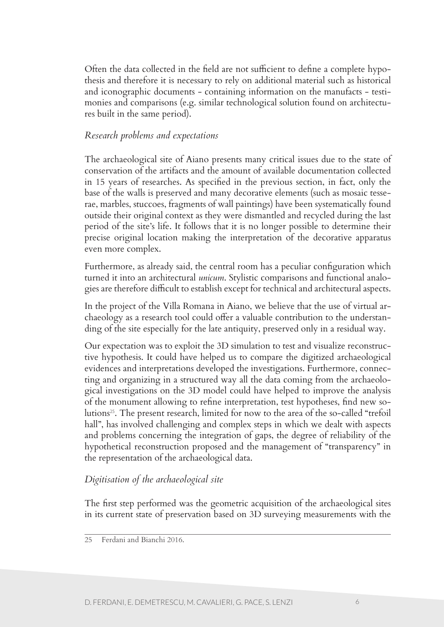Often the data collected in the field are not sufficient to define a complete hypothesis and therefore it is necessary to rely on additional material such as historical and iconographic documents - containing information on the manufacts - testimonies and comparisons (e.g. similar technological solution found on architectures built in the same period).

## *Research problems and expectations*

The archaeological site of Aiano presents many critical issues due to the state of conservation of the artifacts and the amount of available documentation collected in 15 years of researches. As specified in the previous section, in fact, only the base of the walls is preserved and many decorative elements (such as mosaic tesserae, marbles, stuccoes, fragments of wall paintings) have been systematically found outside their original context as they were dismantled and recycled during the last period of the site's life. It follows that it is no longer possible to determine their precise original location making the interpretation of the decorative apparatus even more complex.

Furthermore, as already said, the central room has a peculiar configuration which turned it into an architectural *unicum*. Stylistic comparisons and functional analogies are therefore difficult to establish except for technical and architectural aspects.

In the project of the Villa Romana in Aiano, we believe that the use of virtual archaeology as a research tool could offer a valuable contribution to the understanding of the site especially for the late antiquity, preserved only in a residual way.

Our expectation was to exploit the 3D simulation to test and visualize reconstructive hypothesis. It could have helped us to compare the digitized archaeological evidences and interpretations developed the investigations. Furthermore, connecting and organizing in a structured way all the data coming from the archaeological investigations on the 3D model could have helped to improve the analysis of the monument allowing to refine interpretation, test hypotheses, find new solutions25. The present research, limited for now to the area of the so-called "trefoil hall", has involved challenging and complex steps in which we dealt with aspects and problems concerning the integration of gaps, the degree of reliability of the hypothetical reconstruction proposed and the management of "transparency" in the representation of the archaeological data.

## *Digitisation of the archaeological site*

The first step performed was the geometric acquisition of the archaeological sites in its current state of preservation based on 3D surveying measurements with the

<sup>25</sup> Ferdani and Bianchi 2016.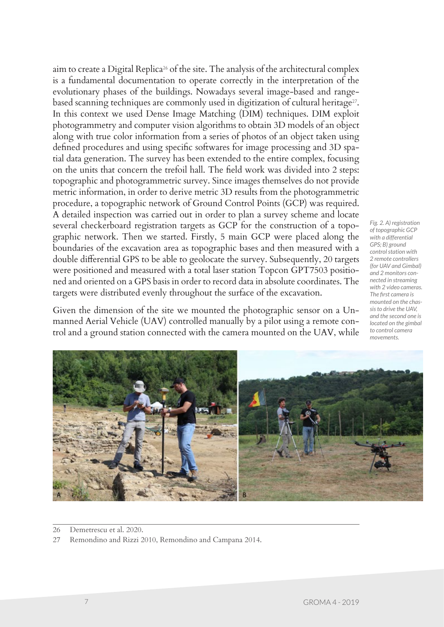aim to create a Digital Replica26 of the site. The analysis of the architectural complex is a fundamental documentation to operate correctly in the interpretation of the evolutionary phases of the buildings. Nowadays several image-based and rangebased scanning techniques are commonly used in digitization of cultural heritage<sup>27</sup>. In this context we used Dense Image Matching (DIM) techniques. DIM exploit photogrammetry and computer vision algorithms to obtain 3D models of an object along with true color information from a series of photos of an object taken using defined procedures and using specific softwares for image processing and 3D spatial data generation. The survey has been extended to the entire complex, focusing on the units that concern the trefoil hall. The field work was divided into 2 steps: topographic and photogrammetric survey. Since images themselves do not provide metric information, in order to derive metric 3D results from the photogrammetric procedure, a topographic network of Ground Control Points (GCP) was required. A detailed inspection was carried out in order to plan a survey scheme and locate several checkerboard registration targets as GCP for the construction of a topographic network. Then we started. Firstly, 5 main GCP were placed along the boundaries of the excavation area as topographic bases and then measured with a double differential GPS to be able to geolocate the survey. Subsequently, 20 targets were positioned and measured with a total laser station Topcon GPT7503 positioned and oriented on a GPS basis in order to record data in absolute coordinates. The targets were distributed evenly throughout the surface of the excavation.

Given the dimension of the site we mounted the photographic sensor on a Unmanned Aerial Vehicle (UAV) controlled manually by a pilot using a remote control and a ground station connected with the camera mounted on the UAV, while

*Fig. 2. A) registration of topographic GCP with a differential GPS; B) ground control station with 2 remote controllers (for UAV and Gimbal) and 2 monitors connected in streaming with 2 video cameras. The first camera is mounted on the chassis to drive the UAV, and the second one is located on the gimbal to control camera movements.*



<sup>26</sup> Demetrescu et al. 2020.

<sup>27</sup> Remondino and Rizzi 2010, Remondino and Campana 2014.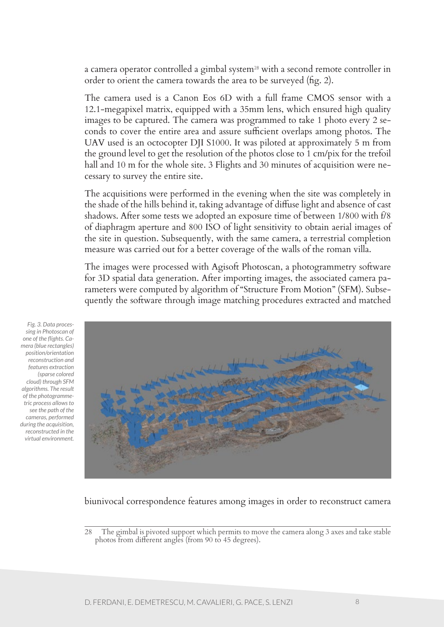a camera operator controlled a gimbal system<sup>28</sup> with a second remote controller in order to orient the camera towards the area to be surveyed (fig. 2).

The camera used is a Canon Eos 6D with a full frame CMOS sensor with a 12.1-megapixel matrix, equipped with a 35mm lens, which ensured high quality images to be captured. The camera was programmed to take 1 photo every 2 seconds to cover the entire area and assure sufficient overlaps among photos. The UAV used is an octocopter DJI S1000. It was piloted at approximately 5 m from the ground level to get the resolution of the photos close to 1 cm/pix for the trefoil hall and 10 m for the whole site. 3 Flights and 30 minutes of acquisition were necessary to survey the entire site.

The acquisitions were performed in the evening when the site was completely in the shade of the hills behind it, taking advantage of diffuse light and absence of cast shadows. After some tests we adopted an exposure time of between 1/800 with f/8 of diaphragm aperture and 800 ISO of light sensitivity to obtain aerial images of the site in question. Subsequently, with the same camera, a terrestrial completion measure was carried out for a better coverage of the walls of the roman villa.

The images were processed with Agisoft Photoscan, a photogrammetry software for 3D spatial data generation. After importing images, the associated camera parameters were computed by algorithm of "Structure From Motion" (SFM). Subsequently the software through image matching procedures extracted and matched

*Fig. 3. Data processing in Photoscan of one of the flights. Camera (blue rectangles) position/orientation reconstruction and features extraction (sparse colored cloud) through SFM algorithms. The result of the photogrammetric process allows to see the path of the cameras, performed during the acquisition, reconstructed in the virtual environment.*



#### biunivocal correspondence features among images in order to reconstruct camera

<sup>28</sup> The gimbal is pivoted support which permits to move the camera along 3 axes and take stable photos from different angles (from 90 to 45 degrees).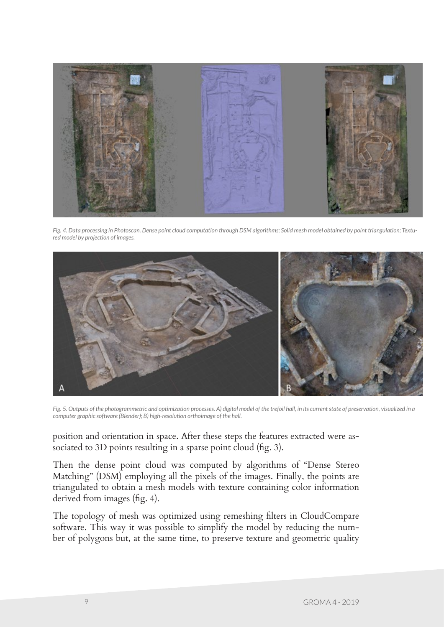

*Fig. 4. Data processing in Photoscan. Dense point cloud computation through DSM algorithms; Solid mesh model obtained by point triangulation; Textured model by projection of images.*



*Fig. 5. Outputs of the photogrammetric and optimization processes. A) digital model of the trefoil hall, in its current state of preservation, visualized in a computer graphic software (Blender); B) high-resolution orthoimage of the hall.*

position and orientation in space. After these steps the features extracted were associated to 3D points resulting in a sparse point cloud (fig. 3).

Then the dense point cloud was computed by algorithms of "Dense Stereo Matching" (DSM) employing all the pixels of the images. Finally, the points are triangulated to obtain a mesh models with texture containing color information derived from images (fig. 4).

The topology of mesh was optimized using remeshing filters in CloudCompare software. This way it was possible to simplify the model by reducing the number of polygons but, at the same time, to preserve texture and geometric quality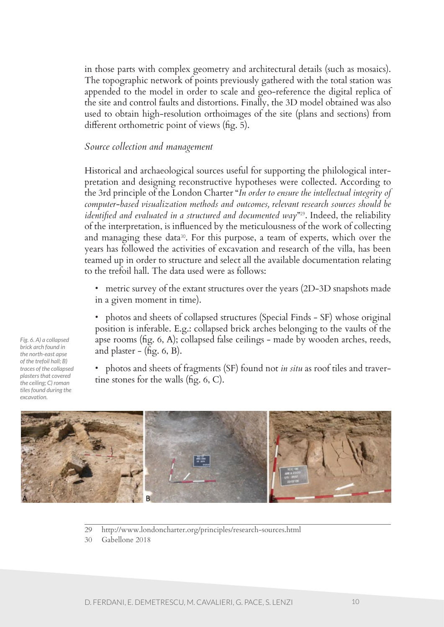in those parts with complex geometry and architectural details (such as mosaics). The topographic network of points previously gathered with the total station was appended to the model in order to scale and geo-reference the digital replica of the site and control faults and distortions. Finally, the 3D model obtained was also used to obtain high-resolution orthoimages of the site (plans and sections) from different orthometric point of views (fig. 5).

### *Source collection and management*

Historical and archaeological sources useful for supporting the philological interpretation and designing reconstructive hypotheses were collected. According to the 3rd principle of the London Charter "*In order to ensure the intellectual integrity of computer-based visualization methods and outcomes, relevant research sources should be identified and evaluated in a structured and documented way*"29. Indeed, the reliability of the interpretation, is influenced by the meticulousness of the work of collecting and managing these data<sup>30</sup>. For this purpose, a team of experts, which over the years has followed the activities of excavation and research of the villa, has been teamed up in order to structure and select all the available documentation relating to the trefoil hall. The data used were as follows:

• metric survey of the extant structures over the years (2D-3D snapshots made in a given moment in time).

• photos and sheets of collapsed structures (Special Finds - SF) whose original position is inferable. E.g.: collapsed brick arches belonging to the vaults of the apse rooms (fig. 6, A); collapsed false ceilings - made by wooden arches, reeds, and plaster  $-$  (fig. 6, B).

• photos and sheets of fragments (SF) found not *in situ* as roof tiles and travertine stones for the walls (fig. 6, C).



- 29 http://www.londoncharter.org/principles/research-sources.html
- 30 Gabellone 2018

*Fig. 6. A) a collapsed brick arch found in the north-east apse of the trefoil hall; B) traces of the collapsed plasters that covered the ceiling; C) roman tiles found during the excavation.*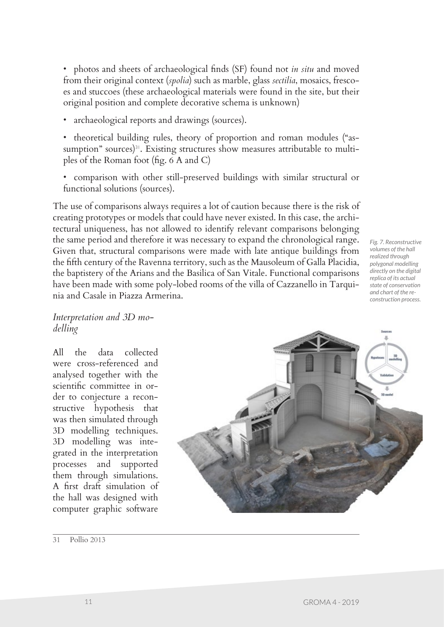• photos and sheets of archaeological finds (SF) found not *in situ* and moved from their original context (*spolia*) such as marble, glass *sectilia*, mosaics, frescoes and stuccoes (these archaeological materials were found in the site, but their original position and complete decorative schema is unknown)

- archaeological reports and drawings (sources).
- theoretical building rules, theory of proportion and roman modules ("assumption" sources)<sup>31</sup>. Existing structures show measures attributable to multiples of the Roman foot (fig. 6 A and C)
- comparison with other still-preserved buildings with similar structural or functional solutions (sources).

The use of comparisons always requires a lot of caution because there is the risk of creating prototypes or models that could have never existed. In this case, the architectural uniqueness, has not allowed to identify relevant comparisons belonging the same period and therefore it was necessary to expand the chronological range. Given that, structural comparisons were made with late antique buildings from the fifth century of the Ravenna territory, such as the Mausoleum of Galla Placidia, the baptistery of the Arians and the Basilica of San Vitale. Functional comparisons have been made with some poly-lobed rooms of the villa of Cazzanello in Tarquinia and Casale in Piazza Armerina.

*Fig. 7. Reconstructive volumes of the hall realized through polygonal modelling directly on the digital replica of its actual state of conservation and chart of the reconstruction process.*

*Interpretation and 3D modelling*

All the data collected were cross-referenced and analysed together with the scientific committee in order to conjecture a reconstructive hypothesis that was then simulated through 3D modelling techniques. 3D modelling was integrated in the interpretation processes and supported them through simulations. A first draft simulation of the hall was designed with computer graphic software



31 Pollio 2013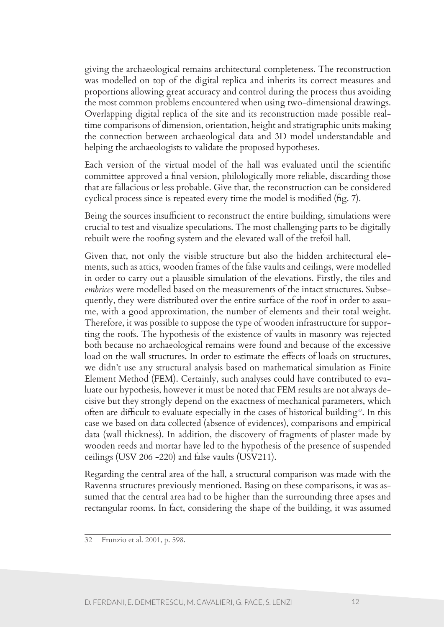giving the archaeological remains architectural completeness. The reconstruction was modelled on top of the digital replica and inherits its correct measures and proportions allowing great accuracy and control during the process thus avoiding the most common problems encountered when using two-dimensional drawings. Overlapping digital replica of the site and its reconstruction made possible realtime comparisons of dimension, orientation, height and stratigraphic units making the connection between archaeological data and 3D model understandable and helping the archaeologists to validate the proposed hypotheses.

Each version of the virtual model of the hall was evaluated until the scientific committee approved a final version, philologically more reliable, discarding those that are fallacious or less probable. Give that, the reconstruction can be considered cyclical process since is repeated every time the model is modified (fig. 7).

Being the sources insufficient to reconstruct the entire building, simulations were crucial to test and visualize speculations. The most challenging parts to be digitally rebuilt were the roofing system and the elevated wall of the trefoil hall.

Given that, not only the visible structure but also the hidden architectural elements, such as attics, wooden frames of the false vaults and ceilings, were modelled in order to carry out a plausible simulation of the elevations. Firstly, the tiles and *embrices* were modelled based on the measurements of the intact structures. Subsequently, they were distributed over the entire surface of the roof in order to assume, with a good approximation, the number of elements and their total weight. Therefore, it was possible to suppose the type of wooden infrastructure for supporting the roofs. The hypothesis of the existence of vaults in masonry was rejected both because no archaeological remains were found and because of the excessive load on the wall structures. In order to estimate the effects of loads on structures, we didn't use any structural analysis based on mathematical simulation as Finite Element Method (FEM). Certainly, such analyses could have contributed to evaluate our hypothesis, however it must be noted that FEM results are not always decisive but they strongly depend on the exactness of mechanical parameters, which often are difficult to evaluate especially in the cases of historical building<sup>32</sup>. In this case we based on data collected (absence of evidences), comparisons and empirical data (wall thickness). In addition, the discovery of fragments of plaster made by wooden reeds and mortar have led to the hypothesis of the presence of suspended ceilings (USV 206 -220) and false vaults (USV211).

Regarding the central area of the hall, a structural comparison was made with the Ravenna structures previously mentioned. Basing on these comparisons, it was assumed that the central area had to be higher than the surrounding three apses and rectangular rooms. In fact, considering the shape of the building, it was assumed

<sup>32</sup> Frunzio et al. 2001, p. 598.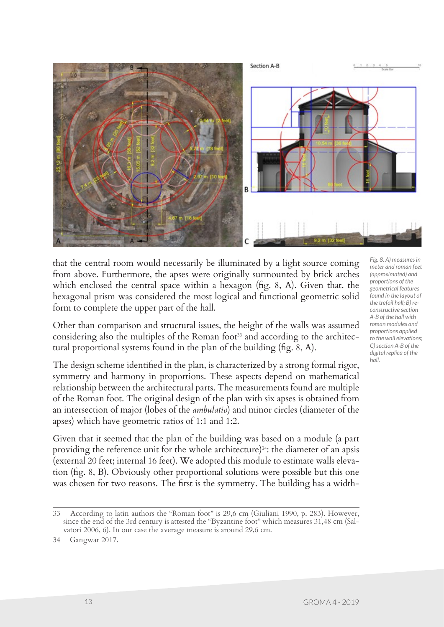

that the central room would necessarily be illuminated by a light source coming from above. Furthermore, the apses were originally surmounted by brick arches which enclosed the central space within a hexagon (fig. 8, A). Given that, the hexagonal prism was considered the most logical and functional geometric solid form to complete the upper part of the hall.

Other than comparison and structural issues, the height of the walls was assumed considering also the multiples of the Roman foot<sup>33</sup> and according to the architectural proportional systems found in the plan of the building (fig. 8, A).

The design scheme identified in the plan, is characterized by a strong formal rigor, symmetry and harmony in proportions. These aspects depend on mathematical relationship between the architectural parts. The measurements found are multiple of the Roman foot. The original design of the plan with six apses is obtained from an intersection of major (lobes of the *ambulatio*) and minor circles (diameter of the apses) which have geometric ratios of 1:1 and 1:2.

Given that it seemed that the plan of the building was based on a module (a part providing the reference unit for the whole architecture)<sup>34</sup>: the diameter of an apsis (external 20 feet; internal 16 feet). We adopted this module to estimate walls elevation (fig. 8, B). Obviously other proportional solutions were possible but this one was chosen for two reasons. The first is the symmetry. The building has a width*meter and roman feet* 

<sup>33</sup> According to latin authors the "Roman foot" is 29,6 cm (Giuliani 1990, p. 283). However, since the end of the 3rd century is attested the "Byzantine foot" which measures 31,48 cm (Salvatori 2006, 6). In our case the average measure is around 29,6 cm.

<sup>34</sup> Gangwar 2017.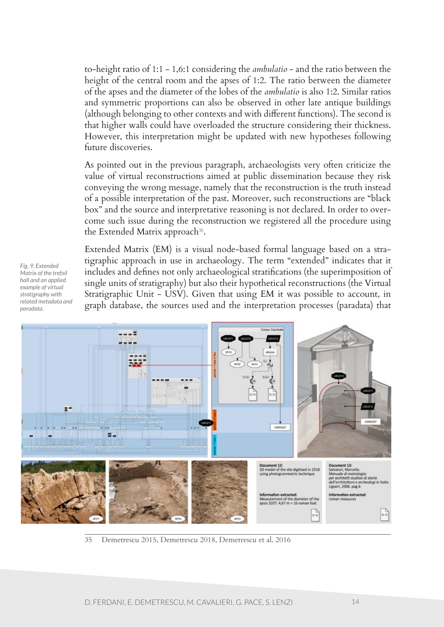to-height ratio of 1:1 - 1,6:1 considering the *ambulatio* - and the ratio between the height of the central room and the apses of 1:2. The ratio between the diameter of the apses and the diameter of the lobes of the *ambulatio* is also 1:2. Similar ratios and symmetric proportions can also be observed in other late antique buildings (although belonging to other contexts and with different functions). The second is that higher walls could have overloaded the structure considering their thickness. However, this interpretation might be updated with new hypotheses following future discoveries.

As pointed out in the previous paragraph, archaeologists very often criticize the value of virtual reconstructions aimed at public dissemination because they risk conveying the wrong message, namely that the reconstruction is the truth instead of a possible interpretation of the past. Moreover, such reconstructions are "black box" and the source and interpretative reasoning is not declared. In order to overcome such issue during the reconstruction we registered all the procedure using the Extended Matrix approach<sup>35</sup>.

*Fig. 9. Extended Matrix of the trefoil hall and an applied example of virtual stratigraphy with related metadata and paradata.*

Extended Matrix (EM) is a visual node-based formal language based on a stratigraphic approach in use in archaeology. The term "extended" indicates that it includes and defines not only archaeological stratifications (the superimposition of single units of stratigraphy) but also their hypothetical reconstructions (the Virtual Stratigraphic Unit - USV). Given that using EM it was possible to account, in graph database, the sources used and the interpretation processes (paradata) that



35 Demetrescu 2015, Demetrescu 2018, Demetrescu et al. 2016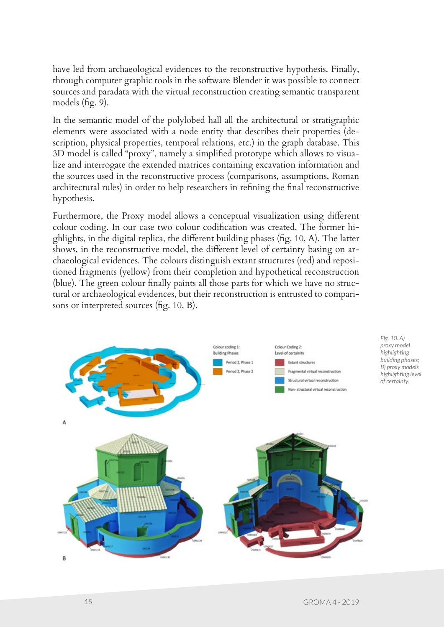have led from archaeological evidences to the reconstructive hypothesis. Finally, through computer graphic tools in the software Blender it was possible to connect sources and paradata with the virtual reconstruction creating semantic transparent models (fig. 9).

In the semantic model of the polylobed hall all the architectural or stratigraphic elements were associated with a node entity that describes their properties (description, physical properties, temporal relations, etc.) in the graph database. This 3D model is called "proxy", namely a simplified prototype which allows to visualize and interrogate the extended matrices containing excavation information and the sources used in the reconstructive process (comparisons, assumptions, Roman architectural rules) in order to help researchers in refining the final reconstructive hypothesis.

Furthermore, the Proxy model allows a conceptual visualization using different colour coding. In our case two colour codification was created. The former highlights, in the digital replica, the different building phases (fig. 10, A). The latter shows, in the reconstructive model, the different level of certainty basing on archaeological evidences. The colours distinguish extant structures (red) and repositioned fragments (yellow) from their completion and hypothetical reconstruction (blue). The green colour finally paints all those parts for which we have no structural or archaeological evidences, but their reconstruction is entrusted to comparisons or interpreted sources (fig. 10, B).

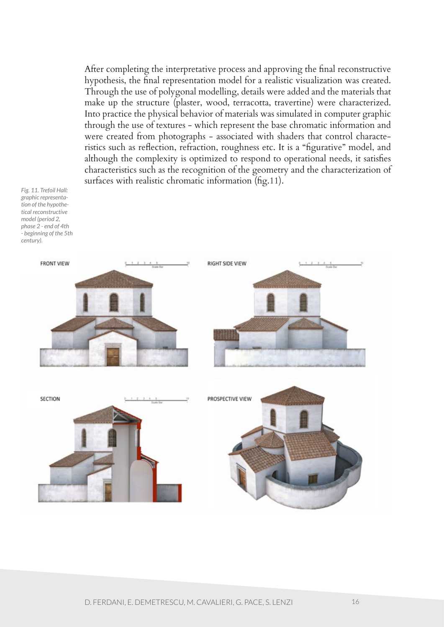After completing the interpretative process and approving the final reconstructive hypothesis, the final representation model for a realistic visualization was created. Through the use of polygonal modelling, details were added and the materials that make up the structure (plaster, wood, terracotta, travertine) were characterized. Into practice the physical behavior of materials was simulated in computer graphic through the use of textures - which represent the base chromatic information and were created from photographs - associated with shaders that control characteristics such as reflection, refraction, roughness etc. It is a "figurative" model, and although the complexity is optimized to respond to operational needs, it satisfies characteristics such as the recognition of the geometry and the characterization of surfaces with realistic chromatic information (fig.11).

*Fig. 11. Trefoil Hall: graphic representation of the hypothetical reconstructive model (period 2, phase 2 - end of 4th - beginning of the 5th century).* 

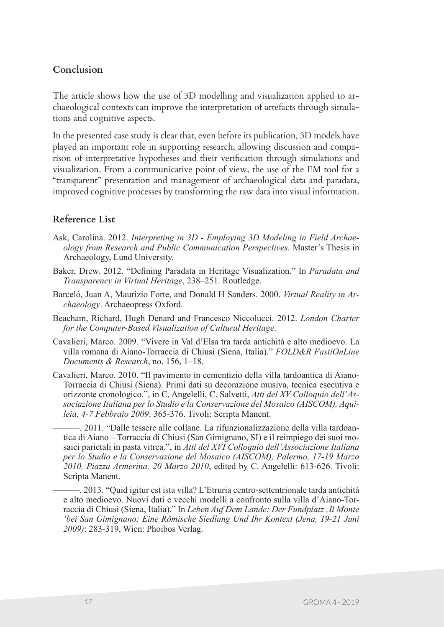## **Conclusion**

The article shows how the use of 3D modelling and visualization applied to archaeological contexts can improve the interpretation of artefacts through simulations and cognitive aspects.

In the presented case study is clear that, even before its publication, 3D models have played an important role in supporting research, allowing discussion and comparison of interpretative hypotheses and their verification through simulations and visualization. From a communicative point of view, the use of the EM tool for a "transparent" presentation and management of archaeological data and paradata, improved cognitive processes by transforming the raw data into visual information.

### **Reference List**

- Ask, Carolina. 2012. *Interpreting in 3D Employing 3D Modeling in Field Archaeology from Research and Public Communication Perspectives*. Master's Thesis in Archaeology, Lund University.
- Baker, Drew. 2012. "Defining Paradata in Heritage Visualization." In *Paradata and Transparency in Virtual Heritage*, 238–251. Routledge.
- Barceló, Juan A, Maurizio Forte, and Donald H Sanders. 2000. *Virtual Reality in Archaeology*. Archaeopress Oxford.
- Beacham, Richard, Hugh Denard and Francesco Niccolucci. 2012. *London Charter for the Computer-Based Visualization of Cultural Heritage*.
- Cavalieri, Marco. 2009. "Vivere in Val d'Elsa tra tarda antichità e alto medioevo. La villa romana di Aiano-Torraccia di Chiusi (Siena, Italia)." *FOLD&R FastiOnLine Documents & Research*, no. 156, 1–18.
- Cavalieri, Marco. 2010. "Il pavimento in cementizio della villa tardoantica di Aiano-Torraccia di Chiusi (Siena). Primi dati su decorazione musiva, tecnica esecutiva e orizzonte cronologico.", in C. Angelelli, C. Salvetti, *Atti del XV Colloquio dell'Associazione Italiana per lo Studio e la Conservazione del Mosaico (AISCOM), Aquileia, 4-7 Febbraio 2009*: 365-376. Tivoli: Scripta Manent.

———. 2011. "Dalle tessere alle collane. La rifunzionalizzazione della villa tardoantica di Aiano – Torraccia di Chiusi (San Gimignano, SI) e il reimpiego dei suoi mosaici parietali in pasta vitrea.", in *Atti del XVI Colloquio dell'Associazione Italiana per lo Studio e la Conservazione del Mosaico (AISCOM), Palermo, 17-19 Marzo 2010, Piazza Armerina, 20 Marzo 2010*, edited by C. Angelelli: 613-626. Tivoli: Scripta Manent.

———. 2013. "Quid igitur est ista villa? L'Etruria centro-settentrionale tarda antichità e alto medioevo. Nuovi dati e vecchi modelli a confronto sulla villa d'Aiano-Torraccia di Chiusi (Siena, Italia)." In *Leben Auf Dem Lande: Der Fundplatz 'Il Monte 'bei San Gimignano: Eine Römische Siedlung Und Ihr Kontext (Jena, 19-21 Juni 2009)*: 283-319, Wien: Phoibos Verlag.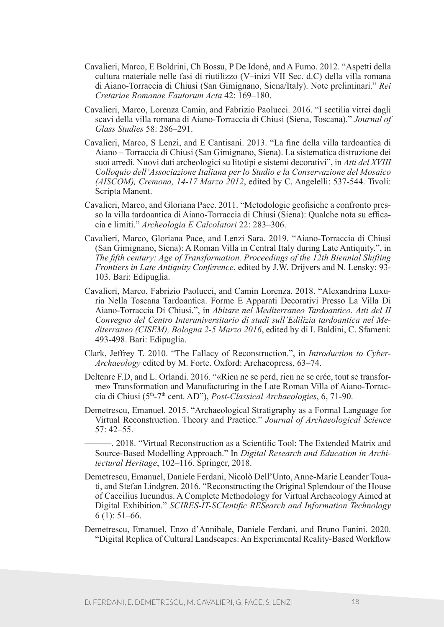- Cavalieri, Marco, E Boldrini, Ch Bossu, P De Idonè, and A Fumo. 2012. "Aspetti della cultura materiale nelle fasi di riutilizzo (V–inizi VII Sec. d.C) della villa romana di Aiano-Torraccia di Chiusi (San Gimignano, Siena/Italy). Note preliminari." *Rei Cretariae Romanae Fautorum Acta* 42: 169–180.
- Cavalieri, Marco, Lorenza Camin, and Fabrizio Paolucci. 2016. "I sectilia vitrei dagli scavi della villa romana di Aiano-Torraccia di Chiusi (Siena, Toscana)." *Journal of Glass Studies* 58: 286–291.
- Cavalieri, Marco, S Lenzi, and E Cantisani. 2013. "La fine della villa tardoantica di Aiano – Torraccia di Chiusi (San Gimignano, Siena). La sistematica distruzione dei suoi arredi. Nuovi dati archeologici su litotipi e sistemi decorativi", in *Atti del XVIII Colloquio dell'Associazione Italiana per lo Studio e la Conservazione del Mosaico (AISCOM), Cremona, 14-17 Marzo 2012*, edited by C. Angelelli: 537-544. Tivoli: Scripta Manent.
- Cavalieri, Marco, and Gloriana Pace. 2011. "Metodologie geofisiche a confronto presso la villa tardoantica di Aiano-Torraccia di Chiusi (Siena): Qualche nota su efficacia e limiti." *Archeologia E Calcolatori* 22: 283–306.
- Cavalieri, Marco, Gloriana Pace, and Lenzi Sara. 2019. "Aiano-Torraccia di Chiusi (San Gimignano, Siena): A Roman Villa in Central Italy during Late Antiquity.", in *The fifth century: Age of Transformation. Proceedings of the 12th Biennial Shifting Frontiers in Late Antiquity Conference*, edited by J.W. Drijvers and N. Lensky: 93- 103. Bari: Edipuglia.
- Cavalieri, Marco, Fabrizio Paolucci, and Camin Lorenza. 2018. "Alexandrina Luxuria Nella Toscana Tardoantica. Forme E Apparati Decorativi Presso La Villa Di Aiano-Torraccia Di Chiusi.", in *Abitare nel Mediterraneo Tardoantico. Atti del II Convegno del Centro Interuniversitario di studi sull'Edilizia tardoantica nel Mediterraneo (CISEM), Bologna 2-5 Marzo 2016*, edited by di I. Baldini, C. Sfameni: 493-498. Bari: Edipuglia.
- Clark, Jeffrey T. 2010. "The Fallacy of Reconstruction.", in *Introduction to Cyber-Archaeology* edited by M. Forte. Oxford: Archaeopress, 63–74.
- Deltenre F.D, and L. Orlandi. 2016. "«Rien ne se perd, rien ne se crée, tout se transforme» Transformation and Manufacturing in the Late Roman Villa of Aiano-Torraccia di Chiusi (5th-7th cent. AD"), *Post-Classical Archaeologies*, 6, 71-90.
- Demetrescu, Emanuel. 2015. "Archaeological Stratigraphy as a Formal Language for Virtual Reconstruction. Theory and Practice." *Journal of Archaeological Science* 57: 42–55.

———. 2018. "Virtual Reconstruction as a Scientific Tool: The Extended Matrix and Source-Based Modelling Approach." In *Digital Research and Education in Architectural Heritage*, 102–116. Springer, 2018.

- Demetrescu, Emanuel, Daniele Ferdani, Nicolò Dell'Unto, Anne-Marie Leander Touati, and Stefan Lindgren. 2016. "Reconstructing the Original Splendour of the House of Caecilius Iucundus. A Complete Methodology for Virtual Archaeology Aimed at Digital Exhibition." *SCIRES-IT-SCIentific RESearch and Information Technology* 6 (1): 51–66.
- Demetrescu, Emanuel, Enzo d'Annibale, Daniele Ferdani, and Bruno Fanini. 2020. "Digital Replica of Cultural Landscapes: An Experimental Reality-Based Workflow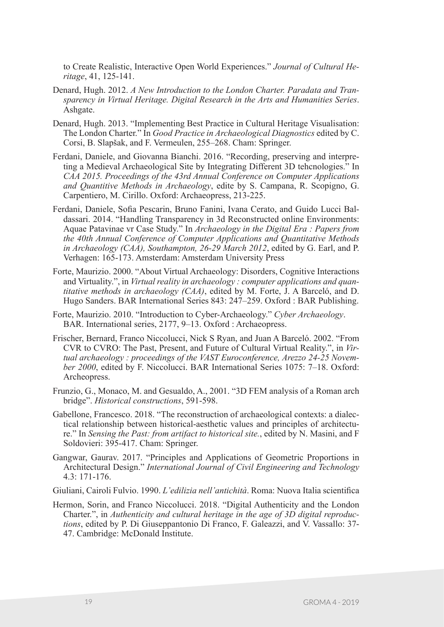to Create Realistic, Interactive Open World Experiences." *Journal of Cultural Heritage*, 41, 125-141.

- Denard, Hugh. 2012. *A New Introduction to the London Charter. Paradata and Transparency in Virtual Heritage. Digital Research in the Arts and Humanities Series*. Ashgate.
- Denard, Hugh. 2013. "Implementing Best Practice in Cultural Heritage Visualisation: The London Charter." In *Good Practice in Archaeological Diagnostics* edited by C. Corsi, B. Slapšak, and F. Vermeulen, 255–268. Cham: Springer.
- Ferdani, Daniele, and Giovanna Bianchi. 2016. "Recording, preserving and interpreting a Medieval Archaeological Site by Integrating Different 3D tehcnologies." In *CAA 2015. Proceedings of the 43rd Annual Conference on Computer Applications and Quantitive Methods in Archaeology*, edite by S. Campana, R. Scopigno, G. Carpentiero, M. Cirillo. Oxford: Archaeopress, 213-225.
- Ferdani, Daniele, Sofia Pescarin, Bruno Fanini, Ivana Cerato, and Guido Lucci Baldassari. 2014. "Handling Transparency in 3d Reconstructed online Environments: Aquae Patavinae vr Case Study." In *Archaeology in the Digital Era : Papers from the 40th Annual Conference of Computer Applications and Quantitative Methods in Archaeology (CAA), Southampton, 26-29 March 2012*, edited by G. Earl, and P. Verhagen: 165-173. Amsterdam: Amsterdam University Press
- Forte, Maurizio. 2000. "About Virtual Archaeology: Disorders, Cognitive Interactions and Virtuality.", in *Virtual reality in archaeology : computer applications and quantitative methods in archaeology (CAA)*, edited by M. Forte, J. A Barceló, and D. Hugo Sanders. BAR International Series 843: 247–259. Oxford : BAR Publishing.
- Forte, Maurizio. 2010. "Introduction to Cyber-Archaeology." *Cyber Archaeology*. BAR. International series, 2177, 9–13. Oxford : Archaeopress.
- Frischer, Bernard, Franco Niccolucci, Nick S Ryan, and Juan A Barceló. 2002. "From CVR to CVRO: The Past, Present, and Future of Cultural Virtual Reality.", in *Virtual archaeology : proceedings of the VAST Euroconference, Arezzo 24-25 November 2000*, edited by F. Niccolucci. BAR International Series 1075: 7–18. Oxford: Archeopress.
- Frunzio, G., Monaco, M. and Gesualdo, A., 2001. "3D FEM analysis of a Roman arch bridge". *Historical constructions*, 591-598.
- Gabellone, Francesco. 2018. "The reconstruction of archaeological contexts: a dialectical relationship between historical-aesthetic values and principles of architecture." In *Sensing the Past: from artifact to historical site.*, edited by N. Masini, and F Soldovieri: 395-417. Cham: Springer.
- Gangwar, Gaurav. 2017. "Principles and Applications of Geometric Proportions in Architectural Design." *International Journal of Civil Engineering and Technology* 4.3: 171-176.

Giuliani, Cairoli Fulvio. 1990. *L'edilizia nell'antichità*. Roma: Nuova Italia scientifica

Hermon, Sorin, and Franco Niccolucci. 2018. "Digital Authenticity and the London Charter.", in *Authenticity and cultural heritage in the age of 3D digital reproductions*, edited by P. Di Giuseppantonio Di Franco, F. Galeazzi, and V. Vassallo: 37- 47. Cambridge: McDonald Institute.